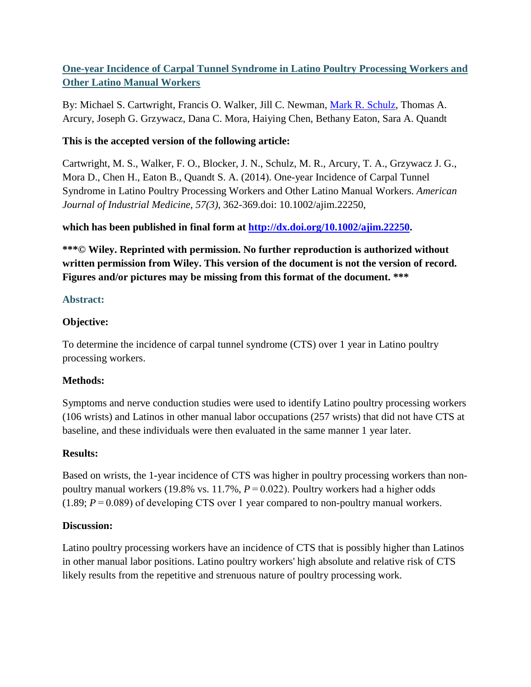# **One-year Incidence of Carpal Tunnel Syndrome in Latino Poultry Processing Workers and Other Latino Manual Workers**

By: Michael S. Cartwright, Francis O. Walker, Jill C. Newman, [Mark R. Schulz,](http://libres.uncg.edu/ir/uncg/clist.aspx?id=1579) Thomas A. Arcury, Joseph G. Grzywacz, Dana C. Mora, Haiying Chen, Bethany Eaton, Sara A. Quandt

# **This is the accepted version of the following article:**

Cartwright, M. S., Walker, F. O., Blocker, J. N., Schulz, M. R., Arcury, T. A., Grzywacz J. G., Mora D., Chen H., Eaton B., Quandt S. A. (2014). One-year Incidence of Carpal Tunnel Syndrome in Latino Poultry Processing Workers and Other Latino Manual Workers. *American Journal of Industrial Medicine, 57(3)*, 362-369.doi: 10.1002/ajim.22250,

## **which has been published in final form at [http://dx.doi.org/10.1002/ajim.22250.](http://dx.doi.org/10.1002/ajim.22250)**

**\*\*\*© Wiley. Reprinted with permission. No further reproduction is authorized without written permission from Wiley. This version of the document is not the version of record. Figures and/or pictures may be missing from this format of the document. \*\*\***

### **Abstract:**

# **Objective:**

To determine the incidence of carpal tunnel syndrome (CTS) over 1 year in Latino poultry processing workers.

# **Methods:**

Symptoms and nerve conduction studies were used to identify Latino poultry processing workers (106 wrists) and Latinos in other manual labor occupations (257 wrists) that did not have CTS at baseline, and these individuals were then evaluated in the same manner 1 year later.

### **Results:**

Based on wrists, the 1-year incidence of CTS was higher in poultry processing workers than nonpoultry manual workers (19.8% vs.  $11.7\%$ ,  $P = 0.022$ ). Poultry workers had a higher odds  $(1.89; P = 0.089)$  of developing CTS over 1 year compared to non-poultry manual workers.

### **Discussion:**

Latino poultry processing workers have an incidence of CTS that is possibly higher than Latinos in other manual labor positions. Latino poultry workers' high absolute and relative risk of CTS likely results from the repetitive and strenuous nature of poultry processing work.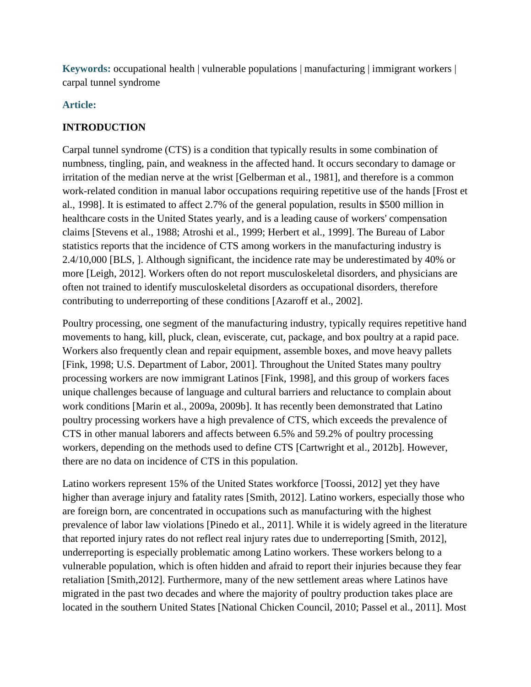**Keywords:** occupational health | vulnerable populations | manufacturing | immigrant workers | carpal tunnel syndrome

#### **Article:**

### **INTRODUCTION**

Carpal tunnel syndrome (CTS) is a condition that typically results in some combination of numbness, tingling, pain, and weakness in the affected hand. It occurs secondary to damage or irritation of the median nerve at the wrist [Gelberman et al., 1981], and therefore is a common work-related condition in manual labor occupations requiring repetitive use of the hands [Frost et al., 1998]. It is estimated to affect 2.7% of the general population, results in \$500 million in healthcare costs in the United States yearly, and is a leading cause of workers' compensation claims [Stevens et al., 1988; Atroshi et al., 1999; Herbert et al., 1999]. The Bureau of Labor statistics reports that the incidence of CTS among workers in the manufacturing industry is 2.4/10,000 [BLS, ]. Although significant, the incidence rate may be underestimated by 40% or more [Leigh, 2012]. Workers often do not report musculoskeletal disorders, and physicians are often not trained to identify musculoskeletal disorders as occupational disorders, therefore contributing to underreporting of these conditions [Azaroff et al., 2002].

Poultry processing, one segment of the manufacturing industry, typically requires repetitive hand movements to hang, kill, pluck, clean, eviscerate, cut, package, and box poultry at a rapid pace. Workers also frequently clean and repair equipment, assemble boxes, and move heavy pallets [Fink, 1998; U.S. Department of Labor, 2001]. Throughout the United States many poultry processing workers are now immigrant Latinos [Fink, 1998], and this group of workers faces unique challenges because of language and cultural barriers and reluctance to complain about work conditions [Marin et al., 2009a, 2009b]. It has recently been demonstrated that Latino poultry processing workers have a high prevalence of CTS, which exceeds the prevalence of CTS in other manual laborers and affects between 6.5% and 59.2% of poultry processing workers, depending on the methods used to define CTS [Cartwright et al., 2012b]. However, there are no data on incidence of CTS in this population.

Latino workers represent 15% of the United States workforce [Toossi, 2012] yet they have higher than average injury and fatality rates [Smith, 2012]. Latino workers, especially those who are foreign born, are concentrated in occupations such as manufacturing with the highest prevalence of labor law violations [Pinedo et al., 2011]. While it is widely agreed in the literature that reported injury rates do not reflect real injury rates due to underreporting [Smith, 2012], underreporting is especially problematic among Latino workers. These workers belong to a vulnerable population, which is often hidden and afraid to report their injuries because they fear retaliation [Smith,2012]. Furthermore, many of the new settlement areas where Latinos have migrated in the past two decades and where the majority of poultry production takes place are located in the southern United States [National Chicken Council, 2010; Passel et al., 2011]. Most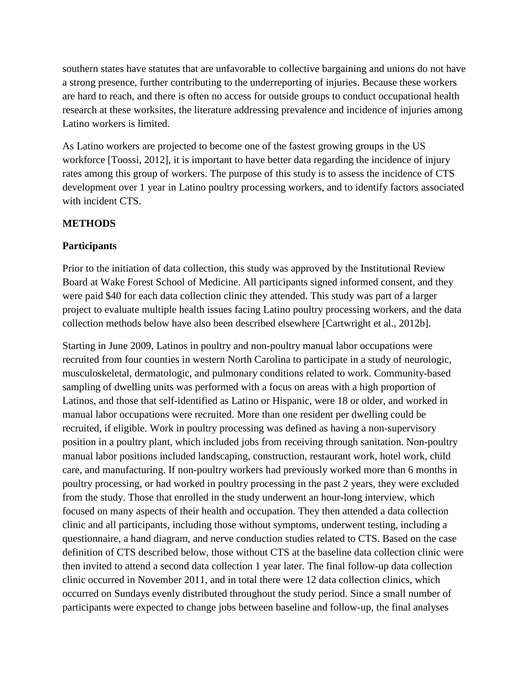southern states have statutes that are unfavorable to collective bargaining and unions do not have a strong presence, further contributing to the underreporting of injuries. Because these workers are hard to reach, and there is often no access for outside groups to conduct occupational health research at these worksites, the literature addressing prevalence and incidence of injuries among Latino workers is limited.

As Latino workers are projected to become one of the fastest growing groups in the US workforce [Toossi, 2012], it is important to have better data regarding the incidence of injury rates among this group of workers. The purpose of this study is to assess the incidence of CTS development over 1 year in Latino poultry processing workers, and to identify factors associated with incident CTS.

### **METHODS**

#### **Participants**

Prior to the initiation of data collection, this study was approved by the Institutional Review Board at Wake Forest School of Medicine. All participants signed informed consent, and they were paid \$40 for each data collection clinic they attended. This study was part of a larger project to evaluate multiple health issues facing Latino poultry processing workers, and the data collection methods below have also been described elsewhere [Cartwright et al., 2012b].

Starting in June 2009, Latinos in poultry and non-poultry manual labor occupations were recruited from four counties in western North Carolina to participate in a study of neurologic, musculoskeletal, dermatologic, and pulmonary conditions related to work. Community-based sampling of dwelling units was performed with a focus on areas with a high proportion of Latinos, and those that self-identified as Latino or Hispanic, were 18 or older, and worked in manual labor occupations were recruited. More than one resident per dwelling could be recruited, if eligible. Work in poultry processing was defined as having a non-supervisory position in a poultry plant, which included jobs from receiving through sanitation. Non-poultry manual labor positions included landscaping, construction, restaurant work, hotel work, child care, and manufacturing. If non-poultry workers had previously worked more than 6 months in poultry processing, or had worked in poultry processing in the past 2 years, they were excluded from the study. Those that enrolled in the study underwent an hour-long interview, which focused on many aspects of their health and occupation. They then attended a data collection clinic and all participants, including those without symptoms, underwent testing, including a questionnaire, a hand diagram, and nerve conduction studies related to CTS. Based on the case definition of CTS described below, those without CTS at the baseline data collection clinic were then invited to attend a second data collection 1 year later. The final follow-up data collection clinic occurred in November 2011, and in total there were 12 data collection clinics, which occurred on Sundays evenly distributed throughout the study period. Since a small number of participants were expected to change jobs between baseline and follow-up, the final analyses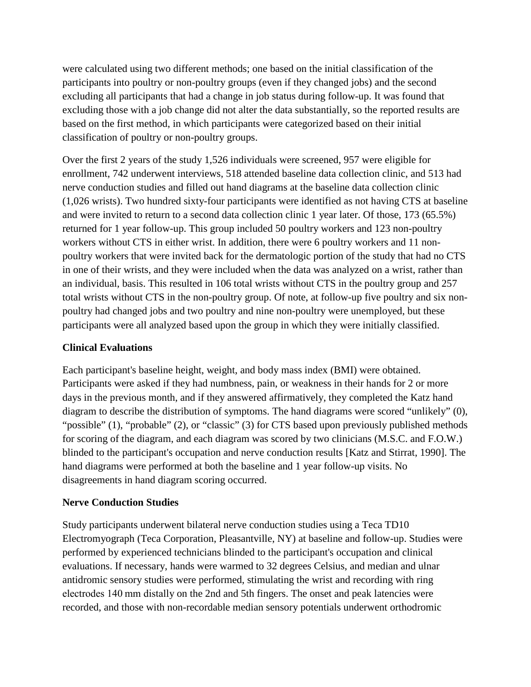were calculated using two different methods; one based on the initial classification of the participants into poultry or non-poultry groups (even if they changed jobs) and the second excluding all participants that had a change in job status during follow-up. It was found that excluding those with a job change did not alter the data substantially, so the reported results are based on the first method, in which participants were categorized based on their initial classification of poultry or non-poultry groups.

Over the first 2 years of the study 1,526 individuals were screened, 957 were eligible for enrollment, 742 underwent interviews, 518 attended baseline data collection clinic, and 513 had nerve conduction studies and filled out hand diagrams at the baseline data collection clinic (1,026 wrists). Two hundred sixty-four participants were identified as not having CTS at baseline and were invited to return to a second data collection clinic 1 year later. Of those, 173 (65.5%) returned for 1 year follow-up. This group included 50 poultry workers and 123 non-poultry workers without CTS in either wrist. In addition, there were 6 poultry workers and 11 nonpoultry workers that were invited back for the dermatologic portion of the study that had no CTS in one of their wrists, and they were included when the data was analyzed on a wrist, rather than an individual, basis. This resulted in 106 total wrists without CTS in the poultry group and 257 total wrists without CTS in the non-poultry group. Of note, at follow-up five poultry and six nonpoultry had changed jobs and two poultry and nine non-poultry were unemployed, but these participants were all analyzed based upon the group in which they were initially classified.

### **Clinical Evaluations**

Each participant's baseline height, weight, and body mass index (BMI) were obtained. Participants were asked if they had numbness, pain, or weakness in their hands for 2 or more days in the previous month, and if they answered affirmatively, they completed the Katz hand diagram to describe the distribution of symptoms. The hand diagrams were scored "unlikely" (0), "possible" (1), "probable" (2), or "classic" (3) for CTS based upon previously published methods for scoring of the diagram, and each diagram was scored by two clinicians (M.S.C. and F.O.W.) blinded to the participant's occupation and nerve conduction results [Katz and Stirrat, 1990]. The hand diagrams were performed at both the baseline and 1 year follow-up visits. No disagreements in hand diagram scoring occurred.

### **Nerve Conduction Studies**

Study participants underwent bilateral nerve conduction studies using a Teca TD10 Electromyograph (Teca Corporation, Pleasantville, NY) at baseline and follow-up. Studies were performed by experienced technicians blinded to the participant's occupation and clinical evaluations. If necessary, hands were warmed to 32 degrees Celsius, and median and ulnar antidromic sensory studies were performed, stimulating the wrist and recording with ring electrodes 140 mm distally on the 2nd and 5th fingers. The onset and peak latencies were recorded, and those with non-recordable median sensory potentials underwent orthodromic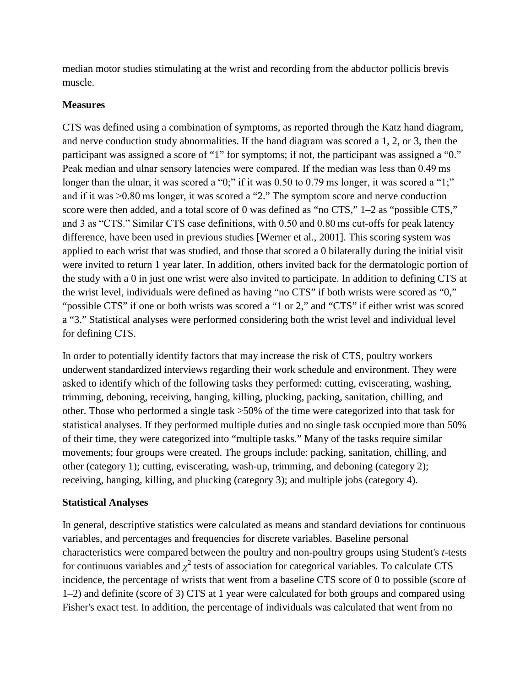median motor studies stimulating at the wrist and recording from the abductor pollicis brevis muscle.

### **Measures**

CTS was defined using a combination of symptoms, as reported through the Katz hand diagram, and nerve conduction study abnormalities. If the hand diagram was scored a 1, 2, or 3, then the participant was assigned a score of "1" for symptoms; if not, the participant was assigned a "0." Peak median and ulnar sensory latencies were compared. If the median was less than 0.49 ms longer than the ulnar, it was scored a "0;" if it was 0.50 to 0.79 ms longer, it was scored a "1;" and if it was >0.80 ms longer, it was scored a "2." The symptom score and nerve conduction score were then added, and a total score of 0 was defined as "no CTS," 1–2 as "possible CTS," and 3 as "CTS." Similar CTS case definitions, with 0.50 and 0.80 ms cut-offs for peak latency difference, have been used in previous studies [Werner et al., 2001]. This scoring system was applied to each wrist that was studied, and those that scored a 0 bilaterally during the initial visit were invited to return 1 year later. In addition, others invited back for the dermatologic portion of the study with a 0 in just one wrist were also invited to participate. In addition to defining CTS at the wrist level, individuals were defined as having "no CTS" if both wrists were scored as "0," "possible CTS" if one or both wrists was scored a "1 or 2," and "CTS" if either wrist was scored a "3." Statistical analyses were performed considering both the wrist level and individual level for defining CTS.

In order to potentially identify factors that may increase the risk of CTS, poultry workers underwent standardized interviews regarding their work schedule and environment. They were asked to identify which of the following tasks they performed: cutting, eviscerating, washing, trimming, deboning, receiving, hanging, killing, plucking, packing, sanitation, chilling, and other. Those who performed a single task >50% of the time were categorized into that task for statistical analyses. If they performed multiple duties and no single task occupied more than 50% of their time, they were categorized into "multiple tasks." Many of the tasks require similar movements; four groups were created. The groups include: packing, sanitation, chilling, and other (category 1); cutting, eviscerating, wash-up, trimming, and deboning (category 2); receiving, hanging, killing, and plucking (category 3); and multiple jobs (category 4).

### **Statistical Analyses**

In general, descriptive statistics were calculated as means and standard deviations for continuous variables, and percentages and frequencies for discrete variables. Baseline personal characteristics were compared between the poultry and non-poultry groups using Student's *t*-tests for continuous variables and  $\chi^2$  tests of association for categorical variables. To calculate CTS incidence, the percentage of wrists that went from a baseline CTS score of 0 to possible (score of 1–2) and definite (score of 3) CTS at 1 year were calculated for both groups and compared using Fisher's exact test. In addition, the percentage of individuals was calculated that went from no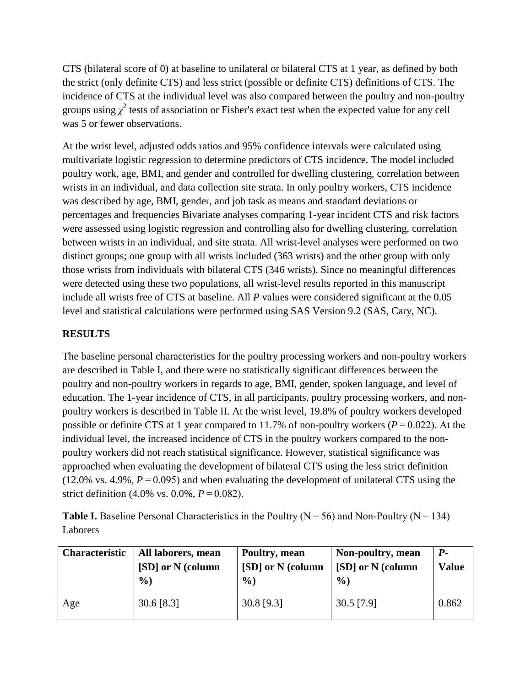CTS (bilateral score of 0) at baseline to unilateral or bilateral CTS at 1 year, as defined by both the strict (only definite CTS) and less strict (possible or definite CTS) definitions of CTS. The incidence of CTS at the individual level was also compared between the poultry and non-poultry groups using  $\chi^2$  tests of association or Fisher's exact test when the expected value for any cell was 5 or fewer observations.

At the wrist level, adjusted odds ratios and 95% confidence intervals were calculated using multivariate logistic regression to determine predictors of CTS incidence. The model included poultry work, age, BMI, and gender and controlled for dwelling clustering, correlation between wrists in an individual, and data collection site strata. In only poultry workers, CTS incidence was described by age, BMI, gender, and job task as means and standard deviations or percentages and frequencies Bivariate analyses comparing 1-year incident CTS and risk factors were assessed using logistic regression and controlling also for dwelling clustering, correlation between wrists in an individual, and site strata. All wrist-level analyses were performed on two distinct groups; one group with all wrists included (363 wrists) and the other group with only those wrists from individuals with bilateral CTS (346 wrists). Since no meaningful differences were detected using these two populations, all wrist-level results reported in this manuscript include all wrists free of CTS at baseline. All *P* values were considered significant at the 0.05 level and statistical calculations were performed using SAS Version 9.2 (SAS, Cary, NC).

### **RESULTS**

The baseline personal characteristics for the poultry processing workers and non-poultry workers are described in Table I, and there were no statistically significant differences between the poultry and non-poultry workers in regards to age, BMI, gender, spoken language, and level of education. The 1-year incidence of CTS, in all participants, poultry processing workers, and nonpoultry workers is described in Table II. At the wrist level, 19.8% of poultry workers developed possible or definite CTS at 1 year compared to 11.7% of non-poultry workers ( $P = 0.022$ ). At the individual level, the increased incidence of CTS in the poultry workers compared to the nonpoultry workers did not reach statistical significance. However, statistical significance was approached when evaluating the development of bilateral CTS using the less strict definition  $(12.0\%$  vs. 4.9%,  $P = 0.095$ ) and when evaluating the development of unilateral CTS using the strict definition  $(4.0\% \text{ vs. } 0.0\%, P = 0.082)$ .

**Table I.** Baseline Personal Characteristics in the Poultry ( $N = 56$ ) and Non-Poultry ( $N = 134$ ) Laborers

| <b>Characteristic</b> | All laborers, mean<br>[SD] or N (column<br>$\frac{0}{0}$ | Poultry, mean<br>[SD] or N (column<br>$\frac{6}{2}$ | Non-poultry, mean<br>[SD] or N (column<br>$\frac{6}{2}$ | P-<br><b>Value</b> |
|-----------------------|----------------------------------------------------------|-----------------------------------------------------|---------------------------------------------------------|--------------------|
| Age                   | $30.6$ [8.3]                                             | $30.8$ [9.3]                                        | $30.5$ [7.9]                                            | 0.862              |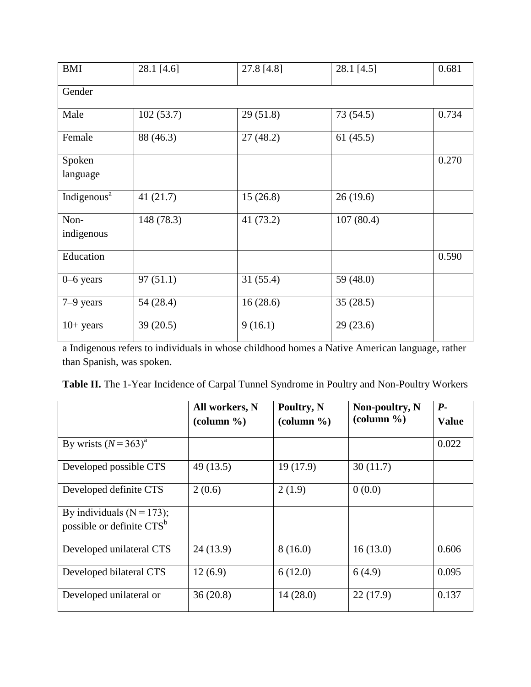| <b>BMI</b>              | 28.1 [4.6] | 27.8 [4.8] | 28.1 [4.5] | 0.681 |
|-------------------------|------------|------------|------------|-------|
| Gender                  |            |            |            |       |
| Male                    | 102(53.7)  | 29(51.8)   | 73 (54.5)  | 0.734 |
| Female                  | 88 (46.3)  | 27(48.2)   | 61(45.5)   |       |
| Spoken                  |            |            |            | 0.270 |
| language                |            |            |            |       |
| Indigenous <sup>a</sup> | 41(21.7)   | 15(26.8)   | 26(19.6)   |       |
| Non-                    | 148 (78.3) | 41 (73.2)  | 107(80.4)  |       |
| indigenous              |            |            |            |       |
| Education               |            |            |            | 0.590 |
| $0 - 6$ years           | 97(51.1)   | 31(55.4)   | 59 (48.0)  |       |
| $7-9$ years             | 54 (28.4)  | 16(28.6)   | 35(28.5)   |       |
| $10+ years$             | 39(20.5)   | 9(16.1)    | 29(23.6)   |       |

a Indigenous refers to individuals in whose childhood homes a Native American language, rather than Spanish, was spoken.

| <b>Table II.</b> The 1-Year Incidence of Carpal Tunnel Syndrome in Poultry and Non-Poultry Workers |  |  |
|----------------------------------------------------------------------------------------------------|--|--|
|----------------------------------------------------------------------------------------------------|--|--|

|                                                                       | All workers, N<br>$\text{(column }\%)$ | Poultry, N<br>$\left(\text{column } \% \right)$ | Non-poultry, N<br>$\text{(column }\% )$ | $P-$<br><b>Value</b> |
|-----------------------------------------------------------------------|----------------------------------------|-------------------------------------------------|-----------------------------------------|----------------------|
| By wrists $(N=363)^{a}$                                               |                                        |                                                 |                                         | 0.022                |
| Developed possible CTS                                                | 49(13.5)                               | 19(17.9)                                        | 30(11.7)                                |                      |
| Developed definite CTS                                                | 2(0.6)                                 | 2(1.9)                                          | 0(0.0)                                  |                      |
| By individuals $(N = 173)$ ;<br>possible or definite CTS <sup>b</sup> |                                        |                                                 |                                         |                      |
| Developed unilateral CTS                                              | 24(13.9)                               | 8(16.0)                                         | 16(13.0)                                | 0.606                |
| Developed bilateral CTS                                               | 12(6.9)                                | 6(12.0)                                         | 6(4.9)                                  | 0.095                |
| Developed unilateral or                                               | 36(20.8)                               | 14(28.0)                                        | 22(17.9)                                | 0.137                |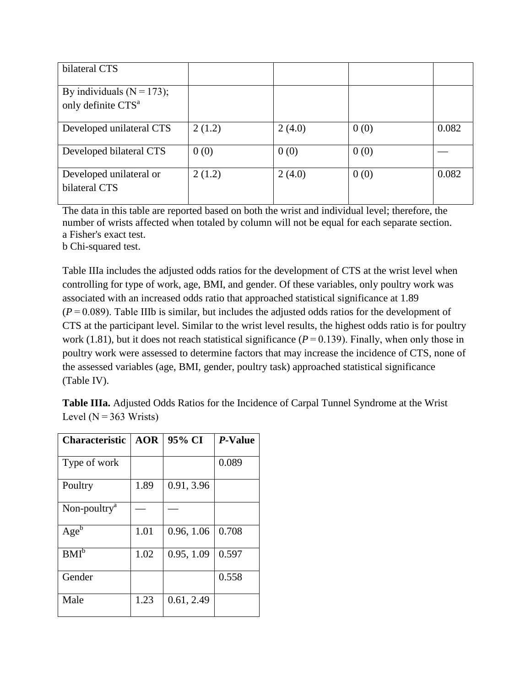| bilateral CTS                                                  |        |        |      |       |
|----------------------------------------------------------------|--------|--------|------|-------|
| By individuals $(N = 173)$ ;<br>only definite CTS <sup>a</sup> |        |        |      |       |
| Developed unilateral CTS                                       | 2(1.2) | 2(4.0) | 0(0) | 0.082 |
| Developed bilateral CTS                                        | 0(0)   | 0(0)   | 0(0) |       |
| Developed unilateral or<br>bilateral CTS                       | 2(1.2) | 2(4.0) | 0(0) | 0.082 |

The data in this table are reported based on both the wrist and individual level; therefore, the number of wrists affected when totaled by column will not be equal for each separate section. a Fisher's exact test.

b Chi-squared test.

Table IIIa includes the adjusted odds ratios for the development of CTS at the wrist level when controlling for type of work, age, BMI, and gender. Of these variables, only poultry work was associated with an increased odds ratio that approached statistical significance at 1.89  $(P = 0.089)$ . Table IIIb is similar, but includes the adjusted odds ratios for the development of CTS at the participant level. Similar to the wrist level results, the highest odds ratio is for poultry work (1.81), but it does not reach statistical significance ( $P = 0.139$ ). Finally, when only those in poultry work were assessed to determine factors that may increase the incidence of CTS, none of the assessed variables (age, BMI, gender, poultry task) approached statistical significance (Table IV).

**Table IIIa.** Adjusted Odds Ratios for the Incidence of Carpal Tunnel Syndrome at the Wrist Level ( $N = 363$  Wrists)

| <b>Characteristic</b>                 | <b>AOR</b> | 95% CI     | P-Value |
|---------------------------------------|------------|------------|---------|
| Type of work                          |            |            | 0.089   |
| Poultry                               | 1.89       | 0.91, 3.96 |         |
| Non-poultry <sup><math>a</math></sup> |            |            |         |
| $Age^b$                               | 1.01       | 0.96, 1.06 | 0.708   |
| $BMI^b$                               | 1.02       | 0.95, 1.09 | 0.597   |
| Gender                                |            |            | 0.558   |
| Male                                  | 1.23       | 0.61, 2.49 |         |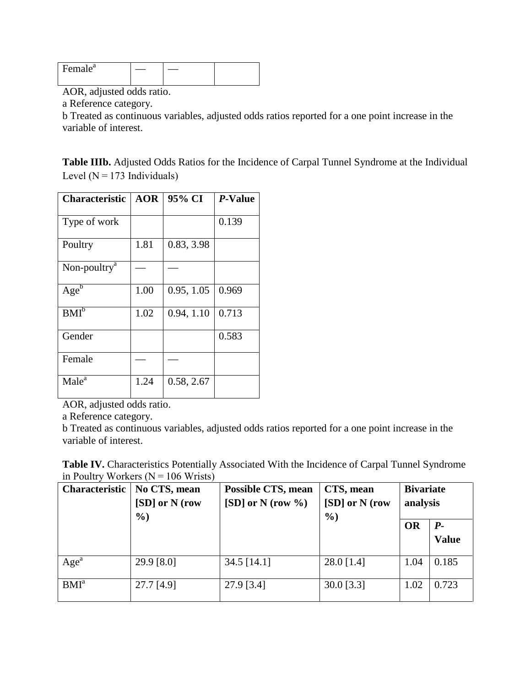| Female <sup>a</sup> |  |  |
|---------------------|--|--|
|                     |  |  |

AOR, adjusted odds ratio.

a Reference category.

b Treated as continuous variables, adjusted odds ratios reported for a one point increase in the variable of interest.

**Table IIIb.** Adjusted Odds Ratios for the Incidence of Carpal Tunnel Syndrome at the Individual Level ( $N = 173$  Individuals)

| <b>Characteristic</b>    | <b>AOR</b> | 95% CI     | P-Value |
|--------------------------|------------|------------|---------|
| Type of work             |            |            | 0.139   |
| Poultry                  | 1.81       | 0.83, 3.98 |         |
| Non-poultry <sup>a</sup> |            |            |         |
| $Age^b$                  | 1.00       | 0.95, 1.05 | 0.969   |
| $BM\overline{D}$         | 1.02       | 0.94, 1.10 | 0.713   |
| Gender                   |            |            | 0.583   |
| Female                   |            |            |         |
| Male <sup>a</sup>        | 1.24       | 0.58, 2.67 |         |

AOR, adjusted odds ratio.

a Reference category.

b Treated as continuous variables, adjusted odds ratios reported for a one point increase in the variable of interest.

**Table IV.** Characteristics Potentially Associated With the Incidence of Carpal Tunnel Syndrome in Poultry Workers ( $N = 106$  Wrists)

| <b>Characteristic</b> | No CTS, mean<br>[SD] or N (row<br>$\%$ | <b>Possible CTS, mean</b><br>[SD] or N (row $\%$ ) | CTS, mean<br>$[SD]$ or N (row<br>$\frac{0}{0}$ | <b>Bivariate</b><br>analysis |                                  |
|-----------------------|----------------------------------------|----------------------------------------------------|------------------------------------------------|------------------------------|----------------------------------|
|                       |                                        |                                                    |                                                | <b>OR</b>                    | $\boldsymbol{P}$<br><b>Value</b> |
| Age <sup>a</sup>      | 29.9 [8.0]                             | $34.5$ [14.1]                                      | 28.0 [1.4]                                     | 1.04                         | 0.185                            |
| BMI <sup>a</sup>      | 27.7 [4.9]                             | 27.9 [3.4]                                         | $30.0$ [3.3]                                   | 1.02                         | 0.723                            |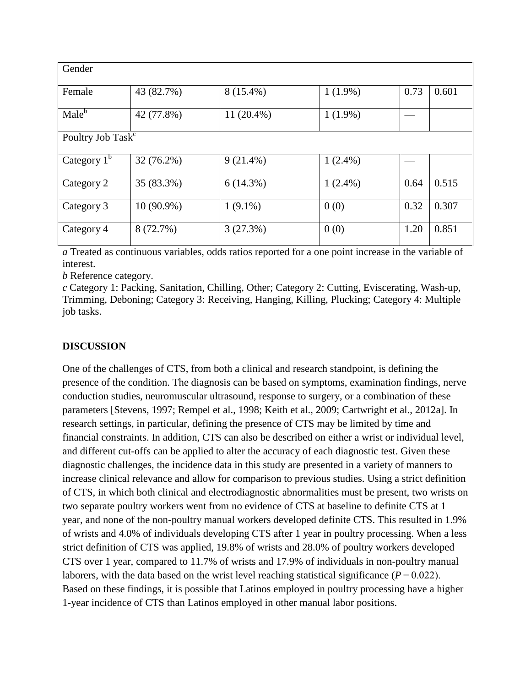| Gender                        |              |              |            |      |       |
|-------------------------------|--------------|--------------|------------|------|-------|
|                               |              |              |            |      |       |
| Female                        | 43 (82.7%)   | 8 (15.4%)    | $1(1.9\%)$ | 0.73 | 0.601 |
|                               |              |              |            |      |       |
| Male <sup>b</sup>             | 42 (77.8%)   | $11(20.4\%)$ | $1(1.9\%)$ |      |       |
|                               |              |              |            |      |       |
| Poultry Job Task <sup>c</sup> |              |              |            |      |       |
|                               |              |              |            |      |       |
| Category $1b$                 | 32 (76.2%)   | $9(21.4\%)$  | $1(2.4\%)$ |      |       |
|                               |              |              |            |      |       |
| Category 2                    | 35 (83.3%)   | $6(14.3\%)$  | $1(2.4\%)$ | 0.64 | 0.515 |
|                               |              |              |            |      |       |
| Category 3                    | $10(90.9\%)$ | $1(9.1\%)$   | 0(0)       | 0.32 | 0.307 |
|                               |              |              |            |      |       |
| Category 4                    | 8 (72.7%)    | 3(27.3%)     | 0(0)       | 1.20 | 0.851 |
|                               |              |              |            |      |       |

*a* Treated as continuous variables, odds ratios reported for a one point increase in the variable of interest.

*b* Reference category.

*c* Category 1: Packing, Sanitation, Chilling, Other; Category 2: Cutting, Eviscerating, Wash-up, Trimming, Deboning; Category 3: Receiving, Hanging, Killing, Plucking; Category 4: Multiple job tasks.

#### **DISCUSSION**

One of the challenges of CTS, from both a clinical and research standpoint, is defining the presence of the condition. The diagnosis can be based on symptoms, examination findings, nerve conduction studies, neuromuscular ultrasound, response to surgery, or a combination of these parameters [Stevens, 1997; Rempel et al., 1998; Keith et al., 2009; Cartwright et al., 2012a]. In research settings, in particular, defining the presence of CTS may be limited by time and financial constraints. In addition, CTS can also be described on either a wrist or individual level, and different cut-offs can be applied to alter the accuracy of each diagnostic test. Given these diagnostic challenges, the incidence data in this study are presented in a variety of manners to increase clinical relevance and allow for comparison to previous studies. Using a strict definition of CTS, in which both clinical and electrodiagnostic abnormalities must be present, two wrists on two separate poultry workers went from no evidence of CTS at baseline to definite CTS at 1 year, and none of the non-poultry manual workers developed definite CTS. This resulted in 1.9% of wrists and 4.0% of individuals developing CTS after 1 year in poultry processing. When a less strict definition of CTS was applied, 19.8% of wrists and 28.0% of poultry workers developed CTS over 1 year, compared to 11.7% of wrists and 17.9% of individuals in non-poultry manual laborers, with the data based on the wrist level reaching statistical significance ( $P = 0.022$ ). Based on these findings, it is possible that Latinos employed in poultry processing have a higher 1-year incidence of CTS than Latinos employed in other manual labor positions.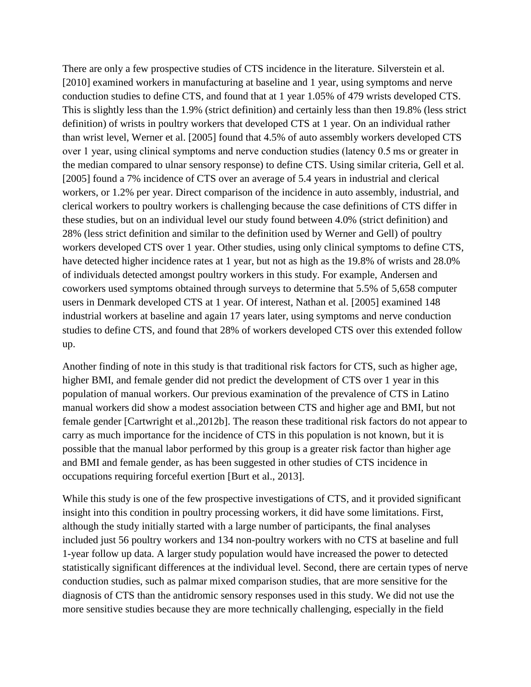There are only a few prospective studies of CTS incidence in the literature. Silverstein et al. [2010] examined workers in manufacturing at baseline and 1 year, using symptoms and nerve conduction studies to define CTS, and found that at 1 year 1.05% of 479 wrists developed CTS. This is slightly less than the 1.9% (strict definition) and certainly less than then 19.8% (less strict definition) of wrists in poultry workers that developed CTS at 1 year. On an individual rather than wrist level, Werner et al. [2005] found that 4.5% of auto assembly workers developed CTS over 1 year, using clinical symptoms and nerve conduction studies (latency 0.5 ms or greater in the median compared to ulnar sensory response) to define CTS. Using similar criteria, Gell et al. [2005] found a 7% incidence of CTS over an average of 5.4 years in industrial and clerical workers, or 1.2% per year. Direct comparison of the incidence in auto assembly, industrial, and clerical workers to poultry workers is challenging because the case definitions of CTS differ in these studies, but on an individual level our study found between 4.0% (strict definition) and 28% (less strict definition and similar to the definition used by Werner and Gell) of poultry workers developed CTS over 1 year. Other studies, using only clinical symptoms to define CTS, have detected higher incidence rates at 1 year, but not as high as the 19.8% of wrists and 28.0% of individuals detected amongst poultry workers in this study. For example, Andersen and coworkers used symptoms obtained through surveys to determine that 5.5% of 5,658 computer users in Denmark developed CTS at 1 year. Of interest, Nathan et al. [2005] examined 148 industrial workers at baseline and again 17 years later, using symptoms and nerve conduction studies to define CTS, and found that 28% of workers developed CTS over this extended follow up.

Another finding of note in this study is that traditional risk factors for CTS, such as higher age, higher BMI, and female gender did not predict the development of CTS over 1 year in this population of manual workers. Our previous examination of the prevalence of CTS in Latino manual workers did show a modest association between CTS and higher age and BMI, but not female gender [Cartwright et al.,2012b]. The reason these traditional risk factors do not appear to carry as much importance for the incidence of CTS in this population is not known, but it is possible that the manual labor performed by this group is a greater risk factor than higher age and BMI and female gender, as has been suggested in other studies of CTS incidence in occupations requiring forceful exertion [Burt et al., 2013].

While this study is one of the few prospective investigations of CTS, and it provided significant insight into this condition in poultry processing workers, it did have some limitations. First, although the study initially started with a large number of participants, the final analyses included just 56 poultry workers and 134 non-poultry workers with no CTS at baseline and full 1-year follow up data. A larger study population would have increased the power to detected statistically significant differences at the individual level. Second, there are certain types of nerve conduction studies, such as palmar mixed comparison studies, that are more sensitive for the diagnosis of CTS than the antidromic sensory responses used in this study. We did not use the more sensitive studies because they are more technically challenging, especially in the field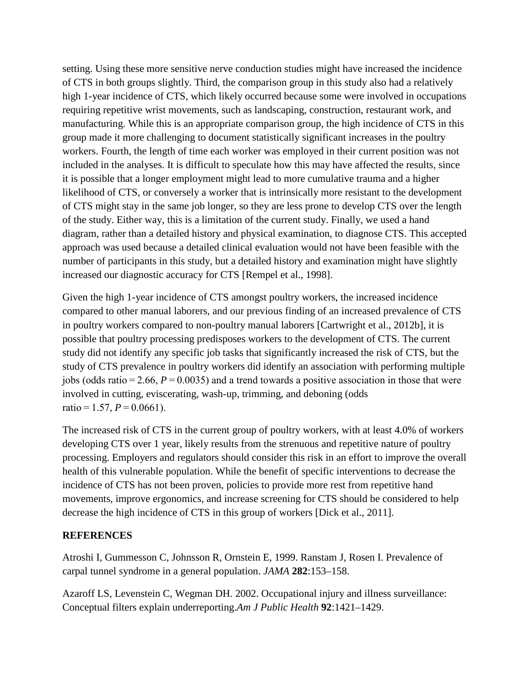setting. Using these more sensitive nerve conduction studies might have increased the incidence of CTS in both groups slightly. Third, the comparison group in this study also had a relatively high 1-year incidence of CTS, which likely occurred because some were involved in occupations requiring repetitive wrist movements, such as landscaping, construction, restaurant work, and manufacturing. While this is an appropriate comparison group, the high incidence of CTS in this group made it more challenging to document statistically significant increases in the poultry workers. Fourth, the length of time each worker was employed in their current position was not included in the analyses. It is difficult to speculate how this may have affected the results, since it is possible that a longer employment might lead to more cumulative trauma and a higher likelihood of CTS, or conversely a worker that is intrinsically more resistant to the development of CTS might stay in the same job longer, so they are less prone to develop CTS over the length of the study. Either way, this is a limitation of the current study. Finally, we used a hand diagram, rather than a detailed history and physical examination, to diagnose CTS. This accepted approach was used because a detailed clinical evaluation would not have been feasible with the number of participants in this study, but a detailed history and examination might have slightly increased our diagnostic accuracy for CTS [Rempel et al., 1998].

Given the high 1-year incidence of CTS amongst poultry workers, the increased incidence compared to other manual laborers, and our previous finding of an increased prevalence of CTS in poultry workers compared to non-poultry manual laborers [Cartwright et al., 2012b], it is possible that poultry processing predisposes workers to the development of CTS. The current study did not identify any specific job tasks that significantly increased the risk of CTS, but the study of CTS prevalence in poultry workers did identify an association with performing multiple jobs (odds ratio $= 2.66$ ,  $P = 0.0035$ ) and a trend towards a positive association in those that were involved in cutting, eviscerating, wash-up, trimming, and deboning (odds ratio $= 1.57$ ,  $P = 0.0661$ ).

The increased risk of CTS in the current group of poultry workers, with at least 4.0% of workers developing CTS over 1 year, likely results from the strenuous and repetitive nature of poultry processing. Employers and regulators should consider this risk in an effort to improve the overall health of this vulnerable population. While the benefit of specific interventions to decrease the incidence of CTS has not been proven, policies to provide more rest from repetitive hand movements, improve ergonomics, and increase screening for CTS should be considered to help decrease the high incidence of CTS in this group of workers [Dick et al., 2011].

### **REFERENCES**

Atroshi I, Gummesson C, Johnsson R, Ornstein E, 1999. Ranstam J, Rosen I. Prevalence of carpal tunnel syndrome in a general population. *JAMA* **282**:153–158.

Azaroff LS, Levenstein C, Wegman DH. 2002. Occupational injury and illness surveillance: Conceptual filters explain underreporting.*Am J Public Health* **92**:1421–1429.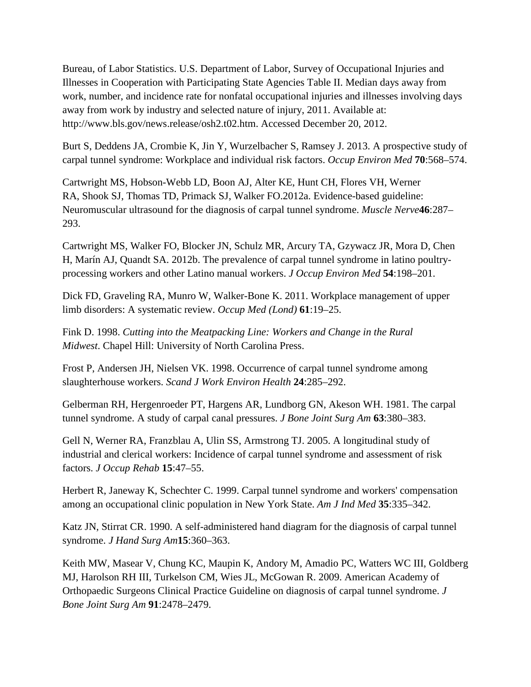Bureau, of Labor Statistics. U.S. Department of Labor, Survey of Occupational Injuries and Illnesses in Cooperation with Participating State Agencies Table II. Median days away from work, number, and incidence rate for nonfatal occupational injuries and illnesses involving days away from work by industry and selected nature of injury, 2011. Available at: http://www.bls.gov/news.release/osh2.t02.htm. Accessed December 20, 2012.

Burt S, Deddens JA, Crombie K, Jin Y, Wurzelbacher S, Ramsey J. 2013. A prospective study of carpal tunnel syndrome: Workplace and individual risk factors. *Occup Environ Med* **70**:568–574.

Cartwright MS, Hobson-Webb LD, Boon AJ, Alter KE, Hunt CH, Flores VH, Werner RA, Shook SJ, Thomas TD, Primack SJ, Walker FO.2012a. Evidence-based guideline: Neuromuscular ultrasound for the diagnosis of carpal tunnel syndrome. *Muscle Nerve***46**:287– 293.

Cartwright MS, Walker FO, Blocker JN, Schulz MR, Arcury TA, Gzywacz JR, Mora D, Chen H, Marín AJ, Quandt SA. 2012b. The prevalence of carpal tunnel syndrome in latino poultryprocessing workers and other Latino manual workers. *J Occup Environ Med* **54**:198–201.

Dick FD, Graveling RA, Munro W, Walker-Bone K. 2011. Workplace management of upper limb disorders: A systematic review. *Occup Med (Lond)* **61**:19–25.

Fink D. 1998. *Cutting into the Meatpacking Line: Workers and Change in the Rural Midwest*. Chapel Hill: University of North Carolina Press.

Frost P, Andersen JH, Nielsen VK. 1998. Occurrence of carpal tunnel syndrome among slaughterhouse workers. *Scand J Work Environ Health* **24**:285–292.

Gelberman RH, Hergenroeder PT, Hargens AR, Lundborg GN, Akeson WH. 1981. The carpal tunnel syndrome. A study of carpal canal pressures. *J Bone Joint Surg Am* **63**:380–383.

Gell N, Werner RA, Franzblau A, Ulin SS, Armstrong TJ. 2005. A longitudinal study of industrial and clerical workers: Incidence of carpal tunnel syndrome and assessment of risk factors. *J Occup Rehab* **15**:47–55.

Herbert R, Janeway K, Schechter C. 1999. Carpal tunnel syndrome and workers' compensation among an occupational clinic population in New York State. *Am J Ind Med* **35**:335–342.

Katz JN, Stirrat CR. 1990. A self-administered hand diagram for the diagnosis of carpal tunnel syndrome. *J Hand Surg Am***15**:360–363.

Keith MW, Masear V, Chung KC, Maupin K, Andory M, Amadio PC, Watters WC III, Goldberg MJ, Harolson RH III, Turkelson CM, Wies JL, McGowan R. 2009. American Academy of Orthopaedic Surgeons Clinical Practice Guideline on diagnosis of carpal tunnel syndrome. *J Bone Joint Surg Am* **91**:2478–2479.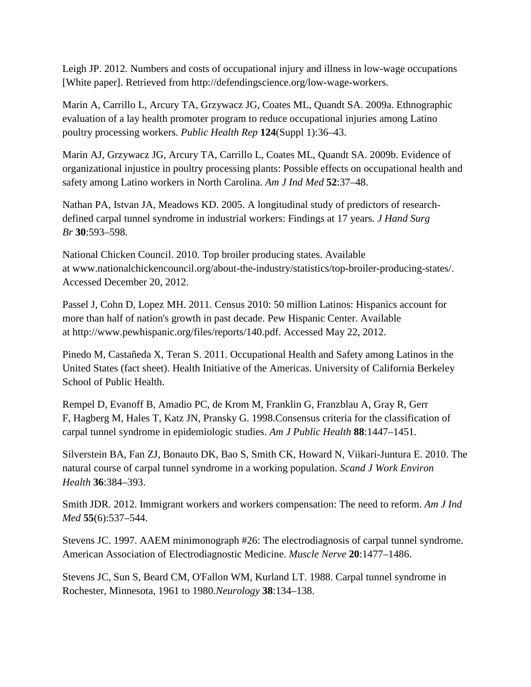Leigh JP. 2012. Numbers and costs of occupational injury and illness in low-wage occupations [White paper]. Retrieved from http://defendingscience.org/low-wage-workers.

Marin A, Carrillo L, Arcury TA, Grzywacz JG, Coates ML, Quandt SA. 2009a. Ethnographic evaluation of a lay health promoter program to reduce occupational injuries among Latino poultry processing workers. *Public Health Rep* **124**(Suppl 1):36–43.

Marin AJ, Grzywacz JG, Arcury TA, Carrillo L, Coates ML, Quandt SA. 2009b. Evidence of organizational injustice in poultry processing plants: Possible effects on occupational health and safety among Latino workers in North Carolina. *Am J Ind Med* **52**:37–48.

Nathan PA, Istvan JA, Meadows KD. 2005. A longitudinal study of predictors of researchdefined carpal tunnel syndrome in industrial workers: Findings at 17 years. *J Hand Surg Br* **30**:593–598.

National Chicken Council. 2010. Top broiler producing states. Available at www.nationalchickencouncil.org/about-the-industry/statistics/top-broiler-producing-states/. Accessed December 20, 2012.

Passel J, Cohn D, Lopez MH. 2011. Census 2010: 50 million Latinos: Hispanics account for more than half of nation's growth in past decade. Pew Hispanic Center. Available at http://www.pewhispanic.org/files/reports/140.pdf. Accessed May 22, 2012.

Pinedo M, Castañeda X, Teran S. 2011. Occupational Health and Safety among Latinos in the United States (fact sheet). Health Initiative of the Americas. University of California Berkeley School of Public Health.

Rempel D, Evanoff B, Amadio PC, de Krom M, Franklin G, Franzblau A, Gray R, Gerr F, Hagberg M, Hales T, Katz JN, Pransky G. 1998.Consensus criteria for the classification of carpal tunnel syndrome in epidemiologic studies. *Am J Public Health* **88**:1447–1451.

Silverstein BA, Fan ZJ, Bonauto DK, Bao S, Smith CK, Howard N, Viikari-Juntura E. 2010. The natural course of carpal tunnel syndrome in a working population. *Scand J Work Environ Health* **36**:384–393.

Smith JDR. 2012. Immigrant workers and workers compensation: The need to reform. *Am J Ind Med* **55**(6):537–544.

Stevens JC. 1997. AAEM minimonograph #26: The electrodiagnosis of carpal tunnel syndrome. American Association of Electrodiagnostic Medicine. *Muscle Nerve* **20**:1477–1486.

Stevens JC, Sun S, Beard CM, O'Fallon WM, Kurland LT. 1988. Carpal tunnel syndrome in Rochester, Minnesota, 1961 to 1980.*Neurology* **38**:134–138.